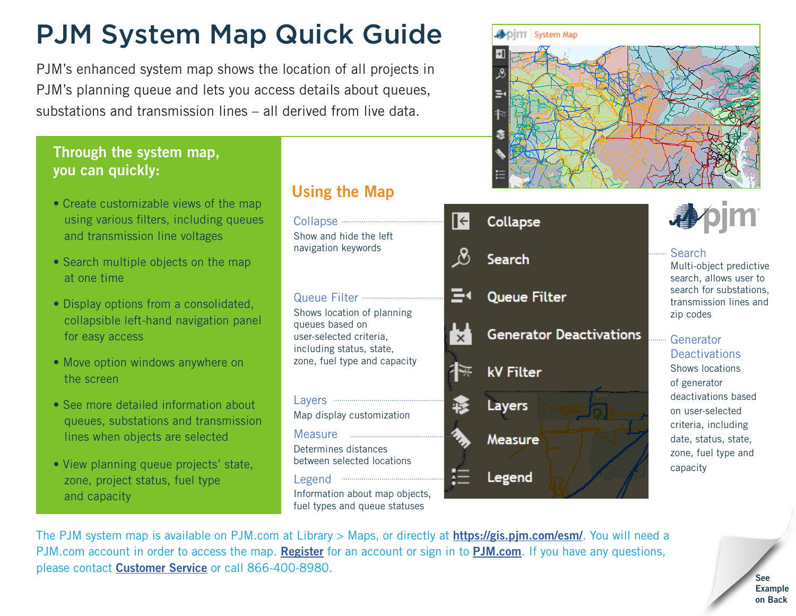# PJM System Map Quick Guide

PJM's enhanced system map shows the location of all projects in PJM's planning queue and lets you access details about queues, substations and transmission lines – all derived from live data.

#### Through the system map, you can quickly:

- Create customizable views of the map using various filters, including queues and transmission line voltages
- Search multiple objects on the map at one time
- Display options from a consolidated, collapsible left-hand navigation panel for easy access
- Move option windows anywhere on the screen
- See more detailed information about queues, substations and transmission lines when objects are selected
- View planning queue projects' state, zone, project status, fuel type and capacity

### Using the Map



Information about map objects, fuel types and queue statuses



|  | Collapse                       |                                                                    |
|--|--------------------------------|--------------------------------------------------------------------|
|  | Search                         | <b>Search</b><br>Multi-object predictive<br>search, allows user to |
|  | <b>Queue Filter</b>            | search for substations,<br>transmission lines and<br>zip codes     |
|  | <b>Generator Deactivations</b> | Generator<br><b>Deactivations</b>                                  |
|  | <b>kV Filter</b>               | <b>Shows locations</b><br>of generator                             |
|  | Layers                         | deactivations based<br>on user-selected<br>criteria, including     |
|  | <b>Measure</b>                 | date, status, state,<br>zone, fuel type and                        |
|  | Legend                         | capacity                                                           |

The PJM system map is available on PJM.com at Library > Maps, or directly at **<https://gis.pjm.com/esm/>**. You will need a PJM.com account in order to access the map. [Register](https://accountmanager.pjm.com/accountmanager/pages/public/new-user.jsf) for an account or sign in to [PJM.com](http://pjm.com/). If you have any questions, please contact [Customer Service](mailto:custsvc@pjm.com) or call 866-400-8980.

See Example on Back